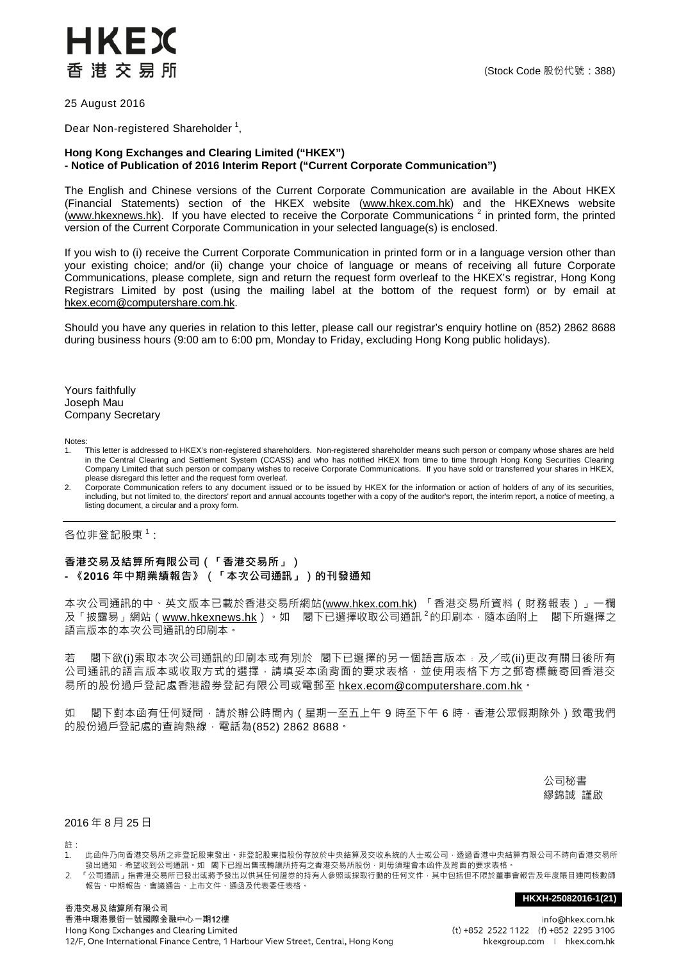## HKEX 香港交易所

25 August 2016

Dear Non-registered Shareholder  $^1$ ,

## **Hong Kong Exchanges and Clearing Limited ("HKEX") - Notice of Publication of 2016 Interim Report ("Current Corporate Communication")**

The English and Chinese versions of the Current Corporate Communication are available in the About HKEX (Financial Statements) section of the HKEX website [\(www.hkex.com.hk\)](http://www.hkex.com.hk/) and the HKEXnews website  $(www.hkexnews.hk)$ . If you have elected to receive the Corporate Communications  $2$  in printed form, the printed version of the Current Corporate Communication in your selected language(s) is enclosed.

If you wish to (i) receive the Current Corporate Communication in printed form or in a language version other than your existing choice; and/or (ii) change your choice of language or means of receiving all future Corporate Communications, please complete, sign and return the request form overleaf to the HKEX's registrar, Hong Kong Registrars Limited by post (using the mailing label at the bottom of the request form) or by email at [hkex.ecom@computershare.com.hk.](mailto:hkex.ecom@computershare.com.hk)

Should you have any queries in relation to this letter, please call our registrar's enquiry hotline on (852) 2862 8688 during business hours (9:00 am to 6:00 pm, Monday to Friday, excluding Hong Kong public holidays).

Yours faithfully Joseph Mau Company Secretary

Notes:<br>1.

- 1. This letter is addressed to HKEX's non-registered shareholders. Non-registered shareholder means such person or company whose shares are held in the Central Clearing and Settlement System (CCASS) and who has notified HKEX from time to time through Hong Kong Securities Clearing<br>Company Limited that such person or company wishes to receive Corporate Communications please disregard this letter and the request form overleaf.
- 2. Corporate Communication refers to any document issued or to be issued by HKEX for the information or action of holders of any of its securities, including, but not limited to, the directors' report and annual accounts together with a copy of the auditor's report, the interim report, a notice of meeting, a listing document, a circular and a proxy form.

各位非登記股東 $^1$ :

## **香港交易及結算所有限公司(「香港交易所」) - 《2016 年中期業績報告》(「本次公司通訊」)的刊發通知**

本次公司通訊的中、英文版本已載於香港交易所網站[\(www.hkex.com.hk\)](http://www.hkex.com.hk/) 「香港交易所資料[\(財務報表\)](http://www.hkex.com.hk/chi/exchange/invest/finance/finstat_c.htm)」一欄 及「披露易」網站([www.hkexnews.hk](http://www.hkexnews.hk/))。如 閣下已選擇收取公司通訊 <sup>2</sup>的印刷本, 隨本函附上 閣下所選擇之 語言版本的本次公司通訊的印刷本。

若 閣下欲(i)索取本次公司通訊的印刷本或有別於 閣下已選擇的另一個語言版本﹔及╱或(ii)更改有關日後所有 公司通訊的語言版本或收取方式的選擇,請填妥本函背面的要求表格,並使用表格下方之郵寄標籤寄回香港交 易所的股份過戶登記處香港證券登記有限公司或電郵至 [hkex.ecom@computershare.com.hk](mailto:hkex.ecom@computershare.com.hk)。

如 閣下對本函有任何疑問,請於辦公時間內 (星期一至五上午 9 時至下午 6 時,香港公眾假期除外 ) 致電我們 的股份過戶登記處的查詢熱線,電話為(852) 2862 8688。

> 公司秘書 繆錦誠 謹啟

2016 年 8 月 25 日

註:

- 1. 此函件乃向香港交易所之非登記股東發出。非登記股東指股份存放於中央結算及交收系統的人士或公司,透過香港中央結算有限公司不時向香港交易所 發出通知,希望收到公司通訊。如 閣下已經出售或轉讓所持有之香港交易所股份,則毋須理會本函件及背面的要求表格。
- 2. 「公司通訊」指香港交易所已發出或將予發出以供其任何證券的持有人參照或採取行動的任何文件,其中包括但不限於董事會報告及年度賬目連同核數師 報告、中期報告、會議通告、上市文件、通函及代表委任表格。

## **HKXH-25082016-1(21)**

info@hkex.com.hk (t) +852 2522 1122 (f) +852 2295 3106 hkexgroup.com | hkex.com.hk